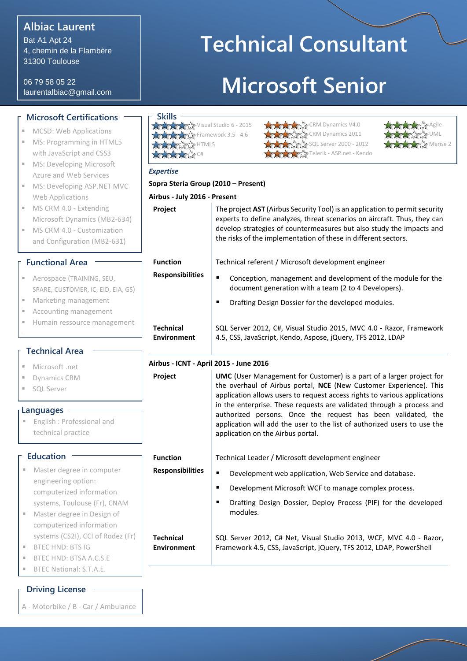# **Albiac Laurent**

Bat A1 Apt 24 4, chemin de la Flambère 31300 Toulouse

06 79 58 05 22 laurentalbiac@gmail.com

## **Microsoft Certifications**

- MCSD: Web Applications
- **MS: Programming in HTML5** with JavaScript and CSS3
- **MS: Developing Microsoft** Azure and Web Services
- **MS: Developing ASP.NET MVC** Web Applications
- MS CRM 4.0 Extending Microsoft Dynamics (MB2-634)
- **MS CRM 4.0 Customization** and Configuration (MB2-631)

**Aerospace (TRAINING, SEU,** SPARE, CUSTOMER, IC, EID, EIA, G.

Marketing management

**Functional Area**

- Accounting management
- Humain ressource management

#### **Technical Area**

- Microsoft .net
- Dynamics CRM
- SQL Server

 $\overline{\phantom{a}}$ 

#### **Languages**

**English : Professional and** technical practice

#### **Education**

- **Master degree in computer** engineering option: computerized information systems, Toulouse (Fr), CNAM
- Master degree in Design of computerized information systems (CS2I), CCI of Rodez (Fr)

**Technical Environment**

- BTEC HND: BTS IG
- BTEC HND: BTSA A.C.S.E
- BTEC National: S.T.A.E.

### **Driving License**

A - Motorbike / B - Car / Ambulance

# **Technical Consultant Microsoft Senior**

| <b>Skills</b>                  |
|--------------------------------|
|                                |
| Visual Studio 6 - 2015         |
|                                |
| $\sqrt{2}$ Framework 3.5 - 4.6 |
|                                |
| SAS HTML5                      |
|                                |
| $\mathcal{D}$ C#               |
|                                |
|                                |





| <b>Expertise</b>                       |                                                                                                                                                                                                                                                                                                                                                                                                                                                                                          |  |  |  |
|----------------------------------------|------------------------------------------------------------------------------------------------------------------------------------------------------------------------------------------------------------------------------------------------------------------------------------------------------------------------------------------------------------------------------------------------------------------------------------------------------------------------------------------|--|--|--|
| Sopra Steria Group (2010 - Present)    |                                                                                                                                                                                                                                                                                                                                                                                                                                                                                          |  |  |  |
| Airbus - July 2016 - Present           |                                                                                                                                                                                                                                                                                                                                                                                                                                                                                          |  |  |  |
| Project                                | The project AST (Airbus Security Tool) is an application to permit security<br>experts to define analyzes, threat scenarios on aircraft. Thus, they can<br>develop strategies of countermeasures but also study the impacts and<br>the risks of the implementation of these in different sectors.                                                                                                                                                                                        |  |  |  |
| <b>Function</b>                        | Technical referent / Microsoft development engineer                                                                                                                                                                                                                                                                                                                                                                                                                                      |  |  |  |
| <b>Responsibilities</b>                | $\blacksquare$<br>Conception, management and development of the module for the<br>document generation with a team (2 to 4 Developers).                                                                                                                                                                                                                                                                                                                                                   |  |  |  |
|                                        | ٠<br>Drafting Design Dossier for the developed modules.                                                                                                                                                                                                                                                                                                                                                                                                                                  |  |  |  |
| <b>Technical</b><br><b>Environment</b> | SQL Server 2012, C#, Visual Studio 2015, MVC 4.0 - Razor, Framework<br>4.5, CSS, JavaScript, Kendo, Aspose, jQuery, TFS 2012, LDAP                                                                                                                                                                                                                                                                                                                                                       |  |  |  |
|                                        | Airbus - ICNT - April 2015 - June 2016                                                                                                                                                                                                                                                                                                                                                                                                                                                   |  |  |  |
| Project                                | <b>UMC</b> (User Management for Customer) is a part of a larger project for<br>the overhaul of Airbus portal, NCE (New Customer Experience). This<br>application allows users to request access rights to various applications<br>in the enterprise. These requests are validated through a process and<br>authorized persons. Once the request has been validated, the<br>application will add the user to the list of authorized users to use the<br>application on the Airbus portal. |  |  |  |
| <b>Function</b>                        | Technical Leader / Microsoft development engineer                                                                                                                                                                                                                                                                                                                                                                                                                                        |  |  |  |
| <b>Responsibilities</b>                | Ξ<br>Development web application, Web Service and database.                                                                                                                                                                                                                                                                                                                                                                                                                              |  |  |  |
|                                        | ٠<br>Development Microsoft WCF to manage complex process.                                                                                                                                                                                                                                                                                                                                                                                                                                |  |  |  |
|                                        |                                                                                                                                                                                                                                                                                                                                                                                                                                                                                          |  |  |  |

SQL Server 2012, C# Net, Visual Studio 2013, WCF, MVC 4.0 - Razor, Framework 4.5, CSS, JavaScript, jQuery, TFS 2012, LDAP, PowerShell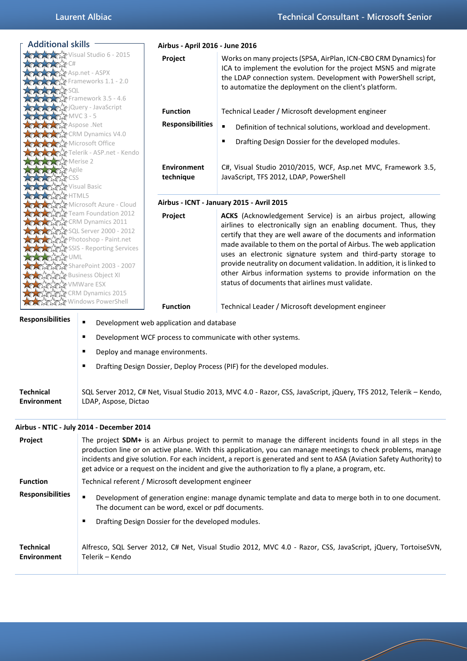| <b>Additional skills</b>                                                                                                                                                                                                                                                                                            |                                                                                                                                                                | Airbus - April 2016 - June 2016                    |                                                                                                                                                                                                                                                                                                                                                                                                                                                                                                                                                  |  |  |
|---------------------------------------------------------------------------------------------------------------------------------------------------------------------------------------------------------------------------------------------------------------------------------------------------------------------|----------------------------------------------------------------------------------------------------------------------------------------------------------------|----------------------------------------------------|--------------------------------------------------------------------------------------------------------------------------------------------------------------------------------------------------------------------------------------------------------------------------------------------------------------------------------------------------------------------------------------------------------------------------------------------------------------------------------------------------------------------------------------------------|--|--|
|                                                                                                                                                                                                                                                                                                                     | Visual Studio 6 - 2015<br>Asp.net - ASPX<br>Frameworks 1.1 - 2.0<br>Framework 3.5 - 4.6                                                                        | Project                                            | Works on many projects (SPSA, AirPlan, ICN-CBO CRM Dynamics) for<br>ICA to implement the evolution for the project MSN5 and migrate<br>the LDAP connection system. Development with PowerShell script,<br>to automatize the deployment on the client's platform.                                                                                                                                                                                                                                                                                 |  |  |
| XXXX MVC 3 - 5                                                                                                                                                                                                                                                                                                      | <b>XXX</b> jQuery - JavaScript                                                                                                                                 | <b>Function</b>                                    | Technical Leader / Microsoft development engineer                                                                                                                                                                                                                                                                                                                                                                                                                                                                                                |  |  |
| <b>MARK</b> Aspose .Net                                                                                                                                                                                                                                                                                             |                                                                                                                                                                | <b>Responsibilities</b>                            | ٠<br>Definition of technical solutions, workload and development.                                                                                                                                                                                                                                                                                                                                                                                                                                                                                |  |  |
| <b>ATATA CRM Dynamics V4.0</b><br><b>XXXXX</b> Microsoft Office                                                                                                                                                                                                                                                     | Telerik - ASP.net - Kendo                                                                                                                                      |                                                    | Drafting Design Dossier for the developed modules.<br>п                                                                                                                                                                                                                                                                                                                                                                                                                                                                                          |  |  |
| <b>XX</b> Merise 2<br><b>WATCSS</b><br><b>XXX</b> Visual Basic                                                                                                                                                                                                                                                      |                                                                                                                                                                | <b>Environment</b><br>technique                    | C#, Visual Studio 2010/2015, WCF, Asp.net MVC, Framework 3.5,<br>JavaScript, TFS 2012, LDAP, PowerShell                                                                                                                                                                                                                                                                                                                                                                                                                                          |  |  |
| <b>AZAR HTML5</b>                                                                                                                                                                                                                                                                                                   |                                                                                                                                                                |                                                    | Airbus - ICNT - January 2015 - Avril 2015                                                                                                                                                                                                                                                                                                                                                                                                                                                                                                        |  |  |
| Microsoft Azure - Cloud<br>Team Foundation 2012<br>AM Dynamics 2011<br>2012 - X SQL Server 2000<br><b>ATA Photoshop - Paint.net</b><br><b>CARACTESSIS</b> - Reporting Services<br>A ATAT UML<br>AMAMA SharePoint 2003 - 2007<br><b>ATAM</b> Business Object XI<br><b>ATA VMWare ESX</b><br><b>CRM Dynamics 2015</b> |                                                                                                                                                                | Project                                            | ACKS (Acknowledgement Service) is an airbus project, allowing<br>airlines to electronically sign an enabling document. Thus, they<br>certify that they are well aware of the documents and information<br>made available to them on the portal of Airbus. The web application<br>uses an electronic signature system and third-party storage to<br>provide neutrality on document validation. In addition, it is linked to<br>other Airbus information systems to provide information on the<br>status of documents that airlines must validate. |  |  |
|                                                                                                                                                                                                                                                                                                                     | <b>Windows PowerShell</b>                                                                                                                                      | <b>Function</b>                                    | Technical Leader / Microsoft development engineer                                                                                                                                                                                                                                                                                                                                                                                                                                                                                                |  |  |
| <b>Responsibilities</b>                                                                                                                                                                                                                                                                                             |                                                                                                                                                                | Development web application and database           |                                                                                                                                                                                                                                                                                                                                                                                                                                                                                                                                                  |  |  |
|                                                                                                                                                                                                                                                                                                                     | $\blacksquare$                                                                                                                                                 |                                                    | Development WCF process to communicate with other systems.                                                                                                                                                                                                                                                                                                                                                                                                                                                                                       |  |  |
|                                                                                                                                                                                                                                                                                                                     | п                                                                                                                                                              | Deploy and manage environments.                    |                                                                                                                                                                                                                                                                                                                                                                                                                                                                                                                                                  |  |  |
|                                                                                                                                                                                                                                                                                                                     |                                                                                                                                                                |                                                    | Drafting Design Dossier, Deploy Process (PIF) for the developed modules.                                                                                                                                                                                                                                                                                                                                                                                                                                                                         |  |  |
| <b>Technical</b><br><b>Environment</b>                                                                                                                                                                                                                                                                              | LDAP, Aspose, Dictao                                                                                                                                           |                                                    | SQL Server 2012, C# Net, Visual Studio 2013, MVC 4.0 - Razor, CSS, JavaScript, jQuery, TFS 2012, Telerik - Kendo,                                                                                                                                                                                                                                                                                                                                                                                                                                |  |  |
|                                                                                                                                                                                                                                                                                                                     | Airbus - NTIC - July 2014 - December 2014                                                                                                                      |                                                    |                                                                                                                                                                                                                                                                                                                                                                                                                                                                                                                                                  |  |  |
| Project                                                                                                                                                                                                                                                                                                             |                                                                                                                                                                |                                                    | The project SDM+ is an Airbus project to permit to manage the different incidents found in all steps in the<br>production line or on active plane. With this application, you can manage meetings to check problems, manage<br>incidents and give solution. For each incident, a report is generated and sent to ASA (Aviation Safety Authority) to<br>get advice or a request on the incident and give the authorization to fly a plane, a program, etc.                                                                                        |  |  |
| <b>Function</b>                                                                                                                                                                                                                                                                                                     | Technical referent / Microsoft development engineer                                                                                                            |                                                    |                                                                                                                                                                                                                                                                                                                                                                                                                                                                                                                                                  |  |  |
| <b>Responsibilities</b>                                                                                                                                                                                                                                                                                             | ٠<br>Development of generation engine: manage dynamic template and data to merge both in to one document.<br>The document can be word, excel or pdf documents. |                                                    |                                                                                                                                                                                                                                                                                                                                                                                                                                                                                                                                                  |  |  |
|                                                                                                                                                                                                                                                                                                                     | п                                                                                                                                                              | Drafting Design Dossier for the developed modules. |                                                                                                                                                                                                                                                                                                                                                                                                                                                                                                                                                  |  |  |
| <b>Technical</b><br><b>Environment</b>                                                                                                                                                                                                                                                                              | Telerik - Kendo                                                                                                                                                |                                                    | Alfresco, SQL Server 2012, C# Net, Visual Studio 2012, MVC 4.0 - Razor, CSS, JavaScript, jQuery, TortoiseSVN,                                                                                                                                                                                                                                                                                                                                                                                                                                    |  |  |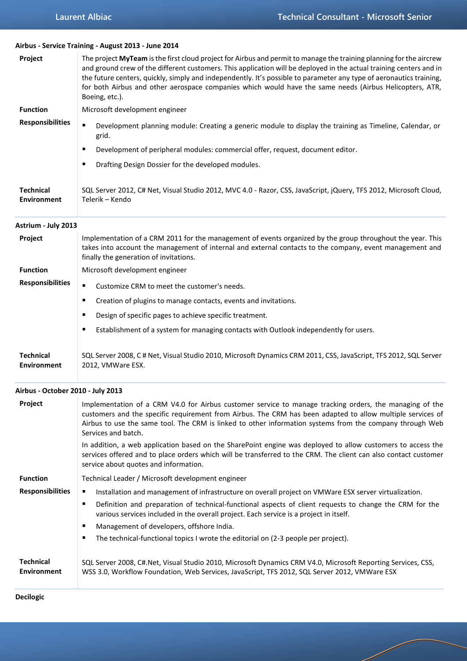4

**Airbus - Service Training - August 2013 - June 2014**

| Project                                | The project MyTeam is the first cloud project for Airbus and permit to manage the training planning for the aircrew<br>and ground crew of the different customers. This application will be deployed in the actual training centers and in<br>the future centers, quickly, simply and independently. It's possible to parameter any type of aeronautics training,<br>for both Airbus and other aerospace companies which would have the same needs (Airbus Helicopters, ATR,<br>Boeing, etc.). |
|----------------------------------------|------------------------------------------------------------------------------------------------------------------------------------------------------------------------------------------------------------------------------------------------------------------------------------------------------------------------------------------------------------------------------------------------------------------------------------------------------------------------------------------------|
| <b>Function</b>                        | Microsoft development engineer                                                                                                                                                                                                                                                                                                                                                                                                                                                                 |
| <b>Responsibilities</b>                | $\blacksquare$<br>Development planning module: Creating a generic module to display the training as Timeline, Calendar, or<br>grid.                                                                                                                                                                                                                                                                                                                                                            |
|                                        | Development of peripheral modules: commercial offer, request, document editor.<br>٠                                                                                                                                                                                                                                                                                                                                                                                                            |
|                                        | Drafting Design Dossier for the developed modules.<br>٠                                                                                                                                                                                                                                                                                                                                                                                                                                        |
| <b>Technical</b><br><b>Environment</b> | SQL Server 2012, C# Net, Visual Studio 2012, MVC 4.0 - Razor, CSS, JavaScript, jQuery, TFS 2012, Microsoft Cloud,<br>Telerik - Kendo                                                                                                                                                                                                                                                                                                                                                           |
| Astrium - July 2013                    |                                                                                                                                                                                                                                                                                                                                                                                                                                                                                                |
| Project                                | Implementation of a CRM 2011 for the management of events organized by the group throughout the year. This<br>takes into account the management of internal and external contacts to the company, event management and<br>finally the generation of invitations.                                                                                                                                                                                                                               |
| <b>Function</b>                        | Microsoft development engineer                                                                                                                                                                                                                                                                                                                                                                                                                                                                 |
| <b>Responsibilities</b>                | $\blacksquare$<br>Customize CRM to meet the customer's needs.                                                                                                                                                                                                                                                                                                                                                                                                                                  |
|                                        | Creation of plugins to manage contacts, events and invitations.<br>٠                                                                                                                                                                                                                                                                                                                                                                                                                           |
|                                        | Design of specific pages to achieve specific treatment.<br>٠                                                                                                                                                                                                                                                                                                                                                                                                                                   |
|                                        | Establishment of a system for managing contacts with Outlook independently for users.<br>٠                                                                                                                                                                                                                                                                                                                                                                                                     |
| <b>Technical</b><br><b>Environment</b> | SQL Server 2008, C # Net, Visual Studio 2010, Microsoft Dynamics CRM 2011, CSS, JavaScript, TFS 2012, SQL Server<br>2012, VMWare ESX.                                                                                                                                                                                                                                                                                                                                                          |
| Airbus - October 2010 - July 2013      |                                                                                                                                                                                                                                                                                                                                                                                                                                                                                                |
| <b>Project</b>                         | Implementation of a CRM V4.0 for Airbus customer service to manage tracking orders, the managing of the<br>customers and the specific requirement from Airbus. The CRM has been adapted to allow multiple services of<br>Airbus to use the same tool. The CRM is linked to other information systems from the company through Web<br>Services and batch.                                                                                                                                       |
|                                        | In addition, a web application based on the SharePoint engine was deployed to allow customers to access the<br>services offered and to place orders which will be transferred to the CRM. The client can also contact customer<br>service about quotes and information.                                                                                                                                                                                                                        |
| <b>Function</b>                        | Technical Leader / Microsoft development engineer                                                                                                                                                                                                                                                                                                                                                                                                                                              |
| <b>Responsibilities</b>                | Installation and management of infrastructure on overall project on VMWare ESX server virtualization.<br>٠                                                                                                                                                                                                                                                                                                                                                                                     |
|                                        | Definition and preparation of technical-functional aspects of client requests to change the CRM for the<br>٠<br>various services included in the overall project. Each service is a project in itself.<br>٠                                                                                                                                                                                                                                                                                    |
|                                        | Management of developers, offshore India.<br>The technical-functional topics I wrote the editorial on (2-3 people per project).<br>п                                                                                                                                                                                                                                                                                                                                                           |
| <b>Technical</b><br>Environment        | SQL Server 2008, C#.Net, Visual Studio 2010, Microsoft Dynamics CRM V4.0, Microsoft Reporting Services, CSS,<br>WSS 3.0, Workflow Foundation, Web Services, JavaScript, TFS 2012, SQL Server 2012, VMWare ESX                                                                                                                                                                                                                                                                                  |
| <b>Decilogic</b>                       |                                                                                                                                                                                                                                                                                                                                                                                                                                                                                                |